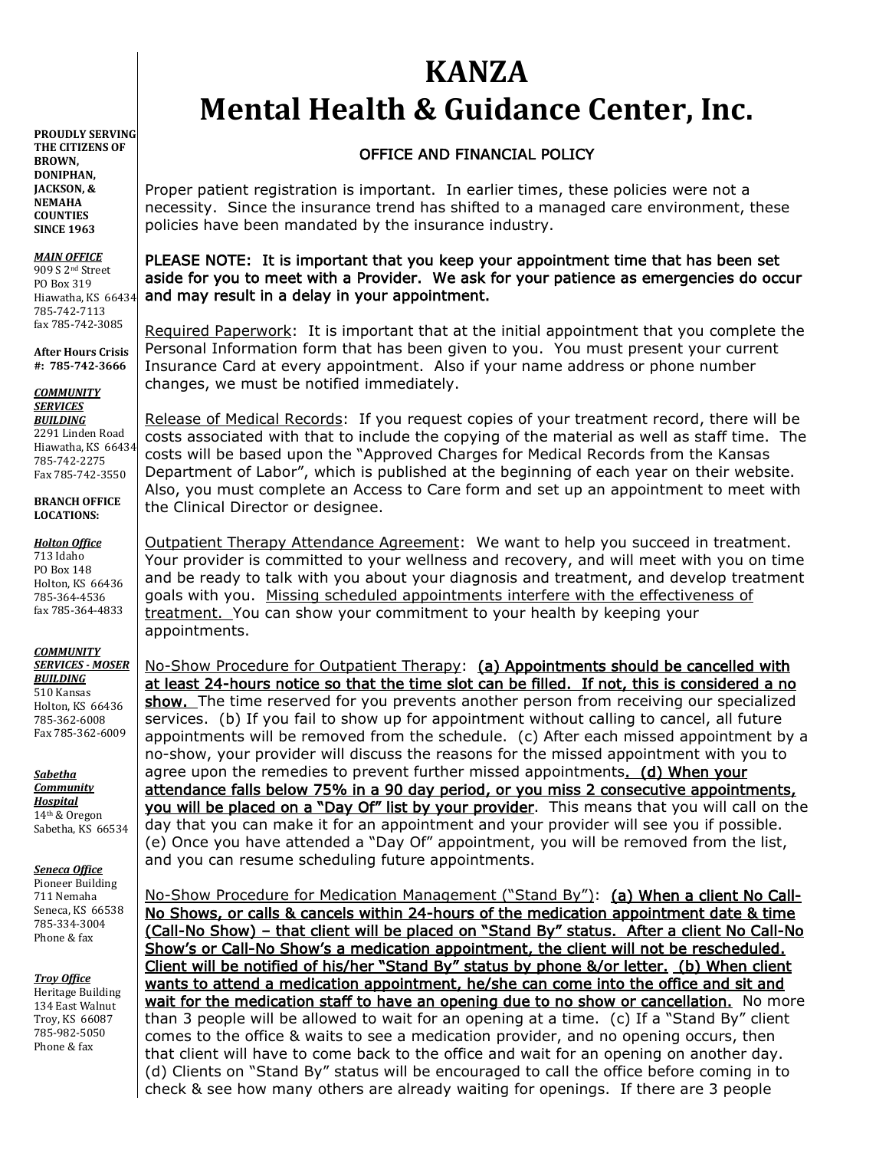# **KANZA Mental Health & Guidance Center, Inc.**

## OFFICE AND FINANCIAL POLICY

Proper patient registration is important. In earlier times, these policies were not a necessity. Since the insurance trend has shifted to a managed care environment, these policies have been mandated by the insurance industry.

### PLEASE NOTE: It is important that you keep your appointment time that has been set aside for you to meet with a Provider. We ask for your patience as emergencies do occur and may result in a delay in your appointment.

Required Paperwork: It is important that at the initial appointment that you complete the Personal Information form that has been given to you. You must present your current Insurance Card at every appointment. Also if your name address or phone number changes, we must be notified immediately.

Release of Medical Records: If you request copies of your treatment record, there will be costs associated with that to include the copying of the material as well as staff time. The costs will be based upon the "Approved Charges for Medical Records from the Kansas Department of Labor", which is published at the beginning of each year on their website. Also, you must complete an Access to Care form and set up an appointment to meet with the Clinical Director or designee.

Outpatient Therapy Attendance Agreement: We want to help you succeed in treatment. Your provider is committed to your wellness and recovery, and will meet with you on time and be ready to talk with you about your diagnosis and treatment, and develop treatment goals with you. Missing scheduled appointments interfere with the effectiveness of treatment. You can show your commitment to your health by keeping your appointments.

No-Show Procedure for Outpatient Therapy: (a) Appointments should be cancelled with at least 24-hours notice so that the time slot can be filled. If not, this is considered a no show. The time reserved for you prevents another person from receiving our specialized services. (b) If you fail to show up for appointment without calling to cancel, all future appointments will be removed from the schedule. (c) After each missed appointment by a no-show, your provider will discuss the reasons for the missed appointment with you to agree upon the remedies to prevent further missed appointments. (d) When your attendance falls below 75% in a 90 day period, or you miss 2 consecutive appointments, you will be placed on a "Day Of" list by your provider. This means that you will call on the day that you can make it for an appointment and your provider will see you if possible. (e) Once you have attended a "Day Of" appointment, you will be removed from the list, and you can resume scheduling future appointments.

No-Show Procedure for Medication Management ("Stand By"): (a) When a client No Call-No Shows, or calls & cancels within 24-hours of the medication appointment date & time (Call-No Show) – that client will be placed on "Stand By" status. After a client No Call-No Show's or Call-No Show's a medication appointment, the client will not be rescheduled. Client will be notified of his/her "Stand By" status by phone &/or letter. (b) When client wants to attend a medication appointment, he/she can come into the office and sit and wait for the medication staff to have an opening due to no show or cancellation. No more than 3 people will be allowed to wait for an opening at a time. (c) If a "Stand By" client comes to the office & waits to see a medication provider, and no opening occurs, then that client will have to come back to the office and wait for an opening on another day. (d) Clients on "Stand By" status will be encouraged to call the office before coming in to check & see how many others are already waiting for openings. If there are 3 people

**PROUDLY SERVING THE CITIZENS OF BROWN, DONIPHAN, JACKSON, & NEMAHA COUNTIES SINCE 1963**

*MAIN OFFICE* 909 S 2nd Street PO Box 319 Hiawatha, KS 66434 785-742-7113 fax 785-742-3085

**After Hours Crisis #: 785-742-3666**

*COMMUNITY SERVICES BUILDING* 2291 Linden Road

Hiawatha, KS 66434 785-742-2275 Fax 785-742-3550

**BRANCH OFFICE LOCATIONS:**

#### *Holton Office*

713 Idaho PO Box 148 Holton, KS 66436 785-364-4536 fax 785-364-4833

*COMMUNITY SERVICES - MOSER BUILDING*

510 Kansas Holton, KS 66436 785-362-6008 Fax 785-362-6009

*Sabetha Community Hospital* 14th & Oregon Sabetha, KS 66534

*Seneca Office*

Pioneer Building 711 Nemaha Seneca, KS 66538 785-334-3004 Phone & fax

*Troy Office*

Heritage Building 134 East Walnut Troy, KS 66087 785-982-5050 Phone & fax